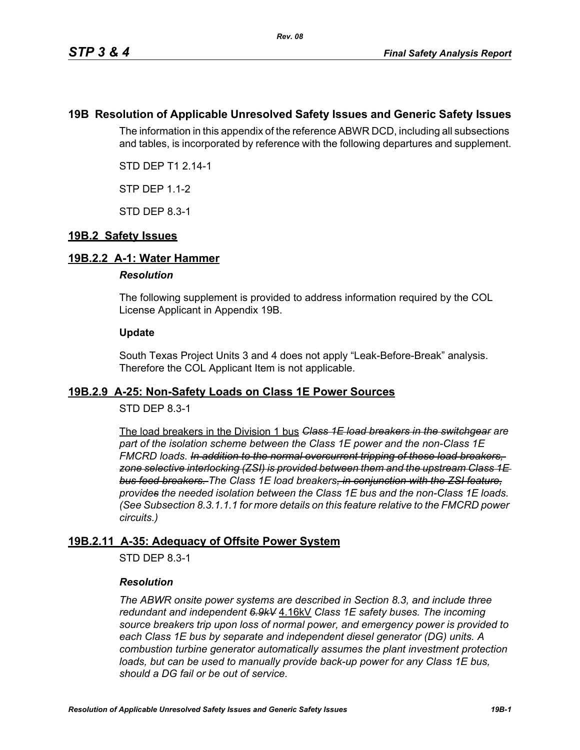# **19B Resolution of Applicable Unresolved Safety Issues and Generic Safety Issues**

The information in this appendix of the reference ABWR DCD, including all subsections and tables, is incorporated by reference with the following departures and supplement.

STD DEP T1 2.14-1

STP DEP 1.1-2

STD DEP 8.3-1

# **19B.2 Safety Issues**

## **19B.2.2 A-1: Water Hammer**

### *Resolution*

The following supplement is provided to address information required by the COL License Applicant in Appendix 19B.

### **Update**

South Texas Project Units 3 and 4 does not apply "Leak-Before-Break" analysis. Therefore the COL Applicant Item is not applicable.

## **19B.2.9 A-25: Non-Safety Loads on Class 1E Power Sources**

## STD DEP 8.3-1

The load breakers in the Division 1 bus *Class 1E load breakers in the switchgear are part of the isolation scheme between the Class 1E power and the non-Class 1E FMCRD loads. In addition to the normal overcurrent tripping of these load breakers, zone selective interlocking (ZSI) is provided between them and the upstream Class 1E bus feed breakers. The Class 1E load breakers, in conjunction with the ZSI feature, provides the needed isolation between the Class 1E bus and the non-Class 1E loads. (See Subsection 8.3.1.1.1 for more details on this feature relative to the FMCRD power circuits.)*

## **19B.2.11 A-35: Adequacy of Offsite Power System**

STD DEP 8.3-1

## *Resolution*

*The ABWR onsite power systems are described in Section 8.3, and include three redundant and independent 6.9kV* 4.16kV *Class 1E safety buses. The incoming source breakers trip upon loss of normal power, and emergency power is provided to each Class 1E bus by separate and independent diesel generator (DG) units. A combustion turbine generator automatically assumes the plant investment protection*  loads, but can be used to manually provide back-up power for any Class 1E bus, *should a DG fail or be out of service.*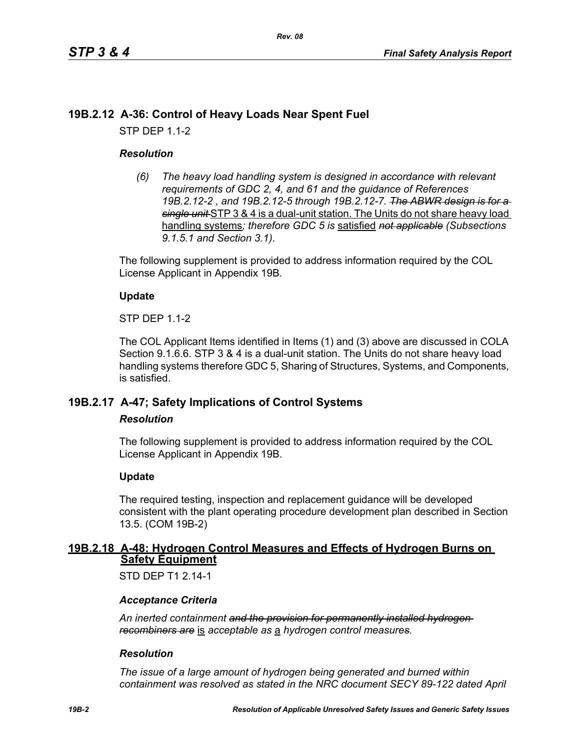# **19B.2.12 A-36: Control of Heavy Loads Near Spent Fuel**

STP DEP 1.1-2

## *Resolution*

*(6) The heavy load handling system is designed in accordance with relevant requirements of GDC 2, 4, and 61 and the guidance of References 19B.2.12-2 , and 19B.2.12-5 through 19B.2.12-7. The ABWR design is for a single unit* STP 3 & 4 is a dual-unit station. The Units do not share heavy load handling systems*; therefore GDC 5 is* satisfied *not applicable (Subsections 9.1.5.1 and Section 3.1).*

The following supplement is provided to address information required by the COL License Applicant in Appendix 19B.

## **Update**

STP DEP 1.1-2

The COL Applicant Items identified in Items (1) and (3) above are discussed in COLA Section 9.1.6.6. STP 3 & 4 is a dual-unit station. The Units do not share heavy load handling systems therefore GDC 5, Sharing of Structures, Systems, and Components, is satisfied.

# **19B.2.17 A-47; Safety Implications of Control Systems**

### *Resolution*

The following supplement is provided to address information required by the COL License Applicant in Appendix 19B.

## **Update**

The required testing, inspection and replacement guidance will be developed consistent with the plant operating procedure development plan described in Section 13.5. (COM 19B-2)

## **19B.2.18 A-48: Hydrogen Control Measures and Effects of Hydrogen Burns on Safety Equipment**

STD DFP T1 2 14-1

## *Acceptance Criteria*

*An inerted containment and the provision for permanently installed hydrogen recombiners are* is *acceptable as* a *hydrogen control measures.*

### *Resolution*

*The issue of a large amount of hydrogen being generated and burned within containment was resolved as stated in the NRC document SECY 89-122 dated April*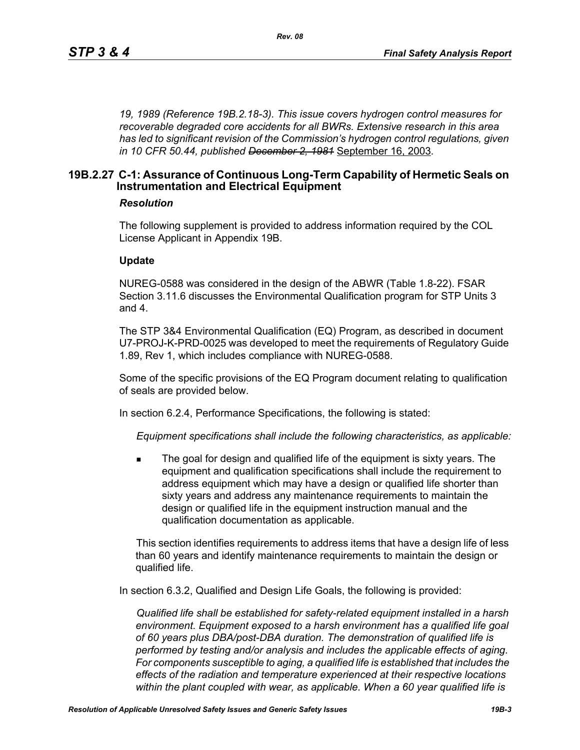*19, 1989 (Reference 19B.2.18-3). This issue covers hydrogen control measures for recoverable degraded core accidents for all BWRs. Extensive research in this area has led to significant revision of the Commission's hydrogen control regulations, given in 10 CFR 50.44, published December 2, 1981* September 16, 2003*.*

# **19B.2.27 C-1: Assurance of Continuous Long-Term Capability of Hermetic Seals on Instrumentation and Electrical Equipment**

### *Resolution*

The following supplement is provided to address information required by the COL License Applicant in Appendix 19B.

#### **Update**

NUREG-0588 was considered in the design of the ABWR (Table 1.8-22). FSAR Section 3.11.6 discusses the Environmental Qualification program for STP Units 3 and 4.

The STP 3&4 Environmental Qualification (EQ) Program, as described in document U7-PROJ-K-PRD-0025 was developed to meet the requirements of Regulatory Guide 1.89, Rev 1, which includes compliance with NUREG-0588.

Some of the specific provisions of the EQ Program document relating to qualification of seals are provided below.

In section 6.2.4, Performance Specifications, the following is stated:

*Equipment specifications shall include the following characteristics, as applicable:*

 The goal for design and qualified life of the equipment is sixty years. The equipment and qualification specifications shall include the requirement to address equipment which may have a design or qualified life shorter than sixty years and address any maintenance requirements to maintain the design or qualified life in the equipment instruction manual and the qualification documentation as applicable.

This section identifies requirements to address items that have a design life of less than 60 years and identify maintenance requirements to maintain the design or qualified life.

In section 6.3.2, Qualified and Design Life Goals, the following is provided:

*Qualified life shall be established for safety-related equipment installed in a harsh environment. Equipment exposed to a harsh environment has a qualified life goal of 60 years plus DBA/post-DBA duration. The demonstration of qualified life is performed by testing and/or analysis and includes the applicable effects of aging. For components susceptible to aging, a qualified life is established that includes the effects of the radiation and temperature experienced at their respective locations within the plant coupled with wear, as applicable. When a 60 year qualified life is*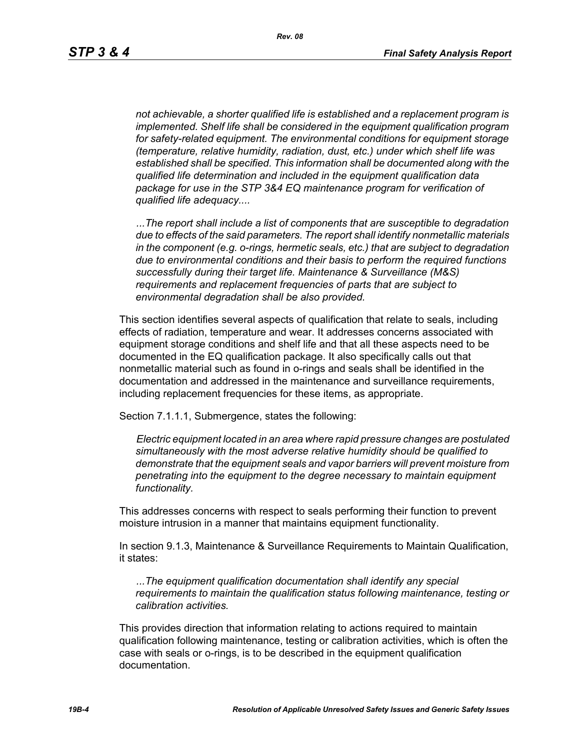*not achievable, a shorter qualified life is established and a replacement program is implemented. Shelf life shall be considered in the equipment qualification program for safety-related equipment. The environmental conditions for equipment storage (temperature, relative humidity, radiation, dust, etc.) under which shelf life was established shall be specified. This information shall be documented along with the qualified life determination and included in the equipment qualification data package for use in the STP 3&4 EQ maintenance program for verification of qualified life adequacy....*

*...The report shall include a list of components that are susceptible to degradation due to effects of the said parameters. The report shall identify nonmetallic materials in the component (e.g. o-rings, hermetic seals, etc.) that are subject to degradation due to environmental conditions and their basis to perform the required functions successfully during their target life. Maintenance & Surveillance (M&S) requirements and replacement frequencies of parts that are subject to environmental degradation shall be also provided.*

This section identifies several aspects of qualification that relate to seals, including effects of radiation, temperature and wear. It addresses concerns associated with equipment storage conditions and shelf life and that all these aspects need to be documented in the EQ qualification package. It also specifically calls out that nonmetallic material such as found in o-rings and seals shall be identified in the documentation and addressed in the maintenance and surveillance requirements, including replacement frequencies for these items, as appropriate.

Section 7.1.1.1, Submergence, states the following:

*Electric equipment located in an area where rapid pressure changes are postulated simultaneously with the most adverse relative humidity should be qualified to demonstrate that the equipment seals and vapor barriers will prevent moisture from penetrating into the equipment to the degree necessary to maintain equipment functionality.*

This addresses concerns with respect to seals performing their function to prevent moisture intrusion in a manner that maintains equipment functionality.

In section 9.1.3, Maintenance & Surveillance Requirements to Maintain Qualification, it states:

*...The equipment qualification documentation shall identify any special requirements to maintain the qualification status following maintenance, testing or calibration activities.*

This provides direction that information relating to actions required to maintain qualification following maintenance, testing or calibration activities, which is often the case with seals or o-rings, is to be described in the equipment qualification documentation.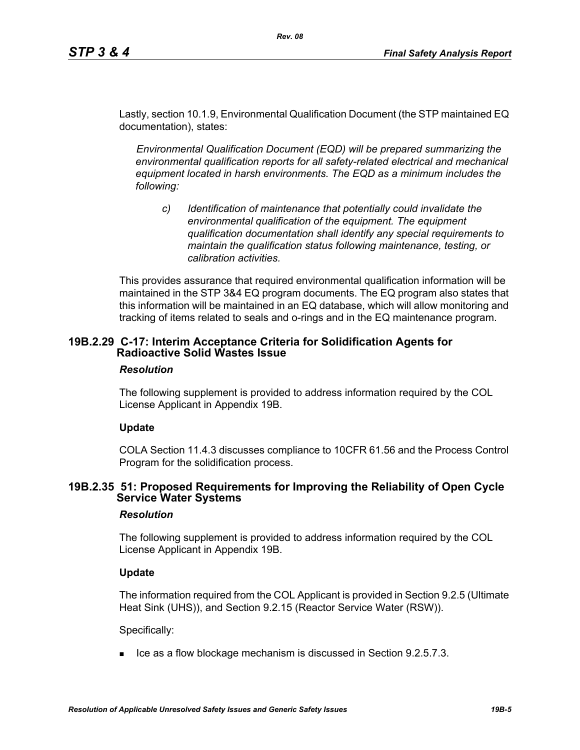Lastly, section 10.1.9, Environmental Qualification Document (the STP maintained EQ documentation), states:

*Rev. 08*

*Environmental Qualification Document (EQD) will be prepared summarizing the environmental qualification reports for all safety-related electrical and mechanical equipment located in harsh environments. The EQD as a minimum includes the following:*

*c) Identification of maintenance that potentially could invalidate the environmental qualification of the equipment. The equipment qualification documentation shall identify any special requirements to maintain the qualification status following maintenance, testing, or calibration activities.*

This provides assurance that required environmental qualification information will be maintained in the STP 3&4 EQ program documents. The EQ program also states that this information will be maintained in an EQ database, which will allow monitoring and tracking of items related to seals and o-rings and in the EQ maintenance program.

## **19B.2.29 C-17: Interim Acceptance Criteria for Solidification Agents for Radioactive Solid Wastes Issue**

### *Resolution*

The following supplement is provided to address information required by the COL License Applicant in Appendix 19B.

## **Update**

COLA Section 11.4.3 discusses compliance to 10CFR 61.56 and the Process Control Program for the solidification process.

## **19B.2.35 51: Proposed Requirements for Improving the Reliability of Open Cycle Service Water Systems**

### *Resolution*

The following supplement is provided to address information required by the COL License Applicant in Appendix 19B.

### **Update**

The information required from the COL Applicant is provided in Section 9.2.5 (Ultimate Heat Sink (UHS)), and Section 9.2.15 (Reactor Service Water (RSW)).

Specifically:

 $\blacksquare$  Ice as a flow blockage mechanism is discussed in Section 9.2.5.7.3.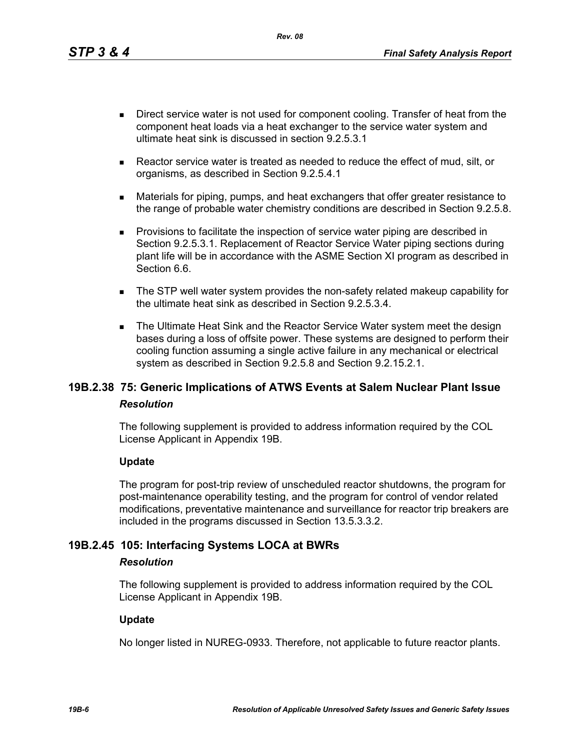*Rev. 08*

- Direct service water is not used for component cooling. Transfer of heat from the component heat loads via a heat exchanger to the service water system and ultimate heat sink is discussed in section 9.2.5.3.1
- Reactor service water is treated as needed to reduce the effect of mud, silt, or organisms, as described in Section 9.2.5.4.1
- Materials for piping, pumps, and heat exchangers that offer greater resistance to the range of probable water chemistry conditions are described in Section 9.2.5.8.
- **Provisions to facilitate the inspection of service water piping are described in** Section 9.2.5.3.1. Replacement of Reactor Service Water piping sections during plant life will be in accordance with the ASME Section XI program as described in Section 6.6.
- The STP well water system provides the non-safety related makeup capability for the ultimate heat sink as described in Section 9.2.5.3.4.
- The Ultimate Heat Sink and the Reactor Service Water system meet the design bases during a loss of offsite power. These systems are designed to perform their cooling function assuming a single active failure in any mechanical or electrical system as described in Section 9.2.5.8 and Section 9.2.15.2.1.

# **19B.2.38 75: Generic Implications of ATWS Events at Salem Nuclear Plant Issue** *Resolution*

The following supplement is provided to address information required by the COL License Applicant in Appendix 19B.

## **Update**

The program for post-trip review of unscheduled reactor shutdowns, the program for post-maintenance operability testing, and the program for control of vendor related modifications, preventative maintenance and surveillance for reactor trip breakers are included in the programs discussed in Section 13.5.3.3.2.

# **19B.2.45 105: Interfacing Systems LOCA at BWRs**

### *Resolution*

The following supplement is provided to address information required by the COL License Applicant in Appendix 19B.

### **Update**

No longer listed in NUREG-0933. Therefore, not applicable to future reactor plants.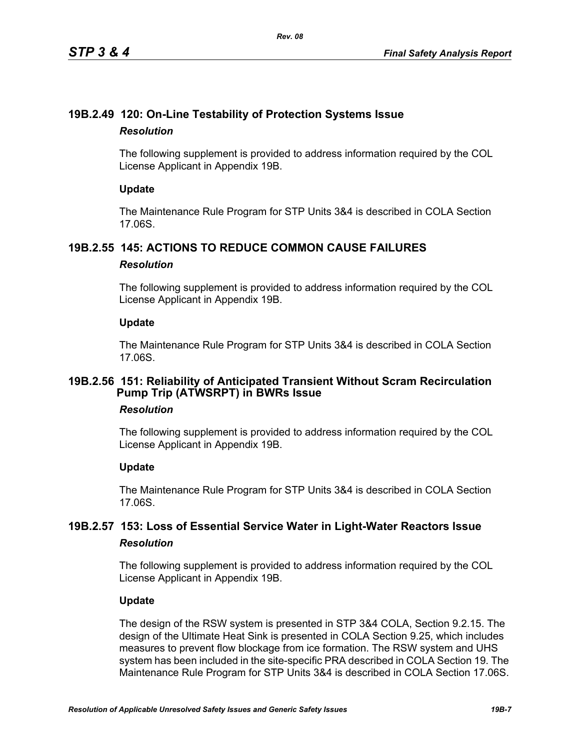# **19B.2.49 120: On-Line Testability of Protection Systems Issue** *Resolution*

The following supplement is provided to address information required by the COL License Applicant in Appendix 19B.

## **Update**

The Maintenance Rule Program for STP Units 3&4 is described in COLA Section 17.06S.

# **19B.2.55 145: ACTIONS TO REDUCE COMMON CAUSE FAILURES**

## *Resolution*

The following supplement is provided to address information required by the COL License Applicant in Appendix 19B.

## **Update**

The Maintenance Rule Program for STP Units 3&4 is described in COLA Section 17.06S.

# **19B.2.56 151: Reliability of Anticipated Transient Without Scram Recirculation Pump Trip (ATWSRPT) in BWRs Issue**

## *Resolution*

The following supplement is provided to address information required by the COL License Applicant in Appendix 19B.

## **Update**

The Maintenance Rule Program for STP Units 3&4 is described in COLA Section 17.06S.

# **19B.2.57 153: Loss of Essential Service Water in Light-Water Reactors Issue** *Resolution*

The following supplement is provided to address information required by the COL License Applicant in Appendix 19B.

## **Update**

The design of the RSW system is presented in STP 3&4 COLA, Section 9.2.15. The design of the Ultimate Heat Sink is presented in COLA Section 9.25, which includes measures to prevent flow blockage from ice formation. The RSW system and UHS system has been included in the site-specific PRA described in COLA Section 19. The Maintenance Rule Program for STP Units 3&4 is described in COLA Section 17.06S.